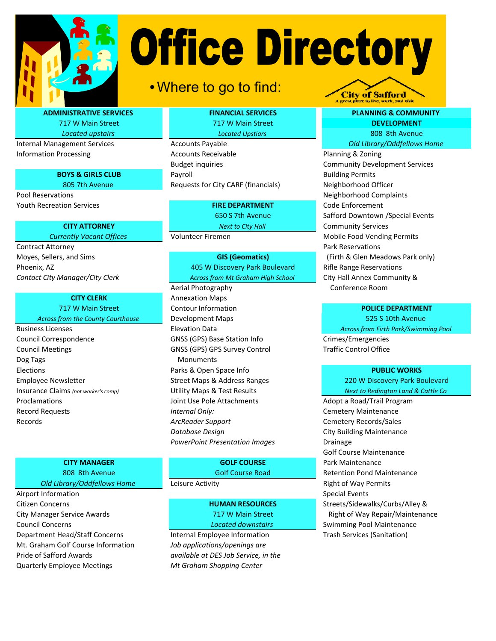

# **Office Directory**

# •Where to go to find:

ADMINISTRATIVE SERVICES 717 W Main Street

Located upstairs

Internal Management Services Information Processing

# BOYS & GIRLS CLUB

805 7th Avenue Pool Reservations Youth Recreation Services FIRE DEPARTMENT

# CITY ATTORNEY

Currently Vacant Offices

Contract Attorney Moyes, Sellers, and Sims Contact City Manager/City Clerk

# CITY CLERK

717 W Main Street

- Across from the County Courthouse Business Licenses
- Council Correspondence GNSS (GPS) Base Station Info Council Meetings GNSS (GPS) GPS Survey Control Elections **Parks & Open Space Info** Employee Newsletter Street Maps & Address Ranges Proclamations Record Requests Records Insurance Claims (not worker's comp) Dog Tags

# CITY MANAGER 808 8th Avenue

Old Library/Oddfellows Home

Council Concerns Department Head/Staff Concerns Airport Information Citizen Concerns City Manager Service Awards Mt. Graham Golf Course Information Pride of Safford Awards Quarterly Employee Meetings

# FINANCIAL SERVICES

717 W Main Street Located Upstiars

# Accounts Payable

Accounts Receivable Budget inquiries Payroll Requests for City CARF (financials)

650 S 7th Avenue

Next to City Hall

Volunteer Firemen

Across from Mt Graham High School GIS (Geomatics) Phoenix, AZ 405 W Discovery Park Boulevard

Aerial Photography Annexation Maps Contour Information Development Maps Development MapsElevation Data Monuments Utility Maps & Test Results Joint Use Pole Attachments **Adopt a Road/Trail Program** Internal Only: Cemetery Maintenance ArcReader Support **CEMENT CEMETER** Cemetery Records/Sales Database Design **City Building Maintenance** PowerPoint Presentation Images Drainage

> Golf Course Road GOLF COURSE

HUMAN RESOURCES 717 W Main Street Located downstairs

Internal Employee Information Trash Services (Sanitation) Job applications/openings are available at DES Job Service, in the Mt Graham Shopping Center

# PLANNING & COMMUNITY 808 8th Avenue DEVELOPMENT Old Library/Oddfellows Home

**City of Safford** 

Planning & Zoning Community Development Services Rifle Range Reservations City Hall Annex Community & Conference Room Mobile Food Vending Permits Park Reservations (Firth & Glen Meadows Park only) Code Enforcement Safford Downtown /Special Events Community Services Building Permits Neighborhood Officer Neighborhood Complaints

# POLICE DEPARTMENT

525 S 10th Avenue Across from Firth Park/Swimming Pool

Crimes/Emergencies Traffic Control Office

#### PUBLIC WORKS

220 W Discovery Park Boulevard Next to Redington Land & Cattle Co

Golf Course Maintenance Park Maintenance Retention Pond Maintenance Leisure Activity **Right of Way Permits** Special Events Streets/Sidewalks/Curbs/Alley & Right of Way Repair/Maintenance Swimming Pool Maintenance